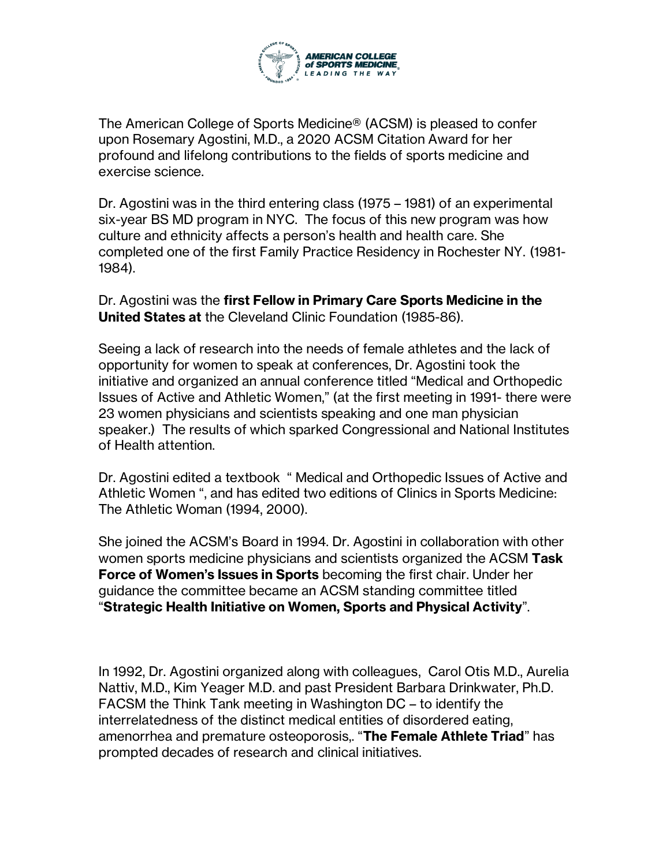

The American College of Sports Medicine® (ACSM) is pleased to confer upon Rosemary Agostini, M.D., a 2020 ACSM Citation Award for her profound and lifelong contributions to the fields of sports medicine and exercise science.

Dr. Agostini was in the third entering class (1975 – 1981) of an experimental six-year BS MD program in NYC. The focus of this new program was how culture and ethnicity affects a person's health and health care. She completed one of the first Family Practice Residency in Rochester NY. (1981- 1984).

Dr. Agostini was the **first Fellow in Primary Care Sports Medicine in the United States at** the Cleveland Clinic Foundation (1985-86).

Seeing a lack of research into the needs of female athletes and the lack of opportunity for women to speak at conferences, Dr. Agostini took the initiative and organized an annual conference titled "Medical and Orthopedic Issues of Active and Athletic Women," (at the first meeting in 1991- there were 23 women physicians and scientists speaking and one man physician speaker.) The results of which sparked Congressional and National Institutes of Health attention.

Dr. Agostini edited a textbook " Medical and Orthopedic Issues of Active and Athletic Women ", and has edited two editions of Clinics in Sports Medicine: The Athletic Woman (1994, 2000).

She joined the ACSM's Board in 1994. Dr. Agostini in collaboration with other women sports medicine physicians and scientists organized the ACSM **Task Force of Women's Issues in Sports** becoming the first chair. Under her guidance the committee became an ACSM standing committee titled "**Strategic Health Initiative on Women, Sports and Physical Activity**".

In 1992, Dr. Agostini organized along with colleagues, Carol Otis M.D., Aurelia Nattiv, M.D., Kim Yeager M.D. and past President Barbara Drinkwater, Ph.D. FACSM the Think Tank meeting in Washington DC – to identify the interrelatedness of the distinct medical entities of disordered eating, amenorrhea and premature osteoporosis,. "**The Female Athlete Triad**" has prompted decades of research and clinical initiatives.